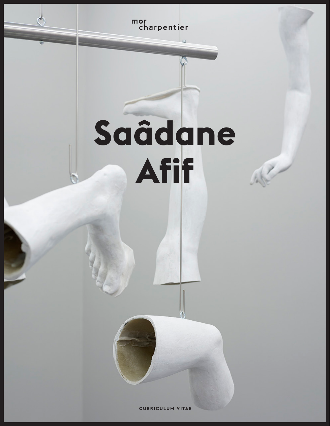mor<br>charpentier

 $\sim$ 

# **Saâdane Afif**

ART

**CURRICULUM VITAE**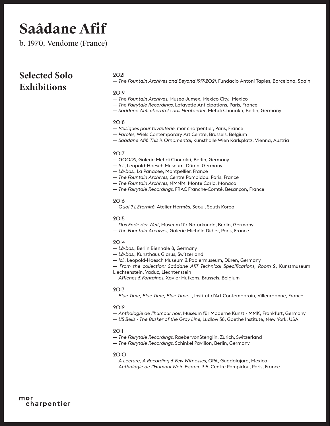b. 1970, Vendôme (France)

### **Selected Solo Exhibitions**

#### 2021

— *The Fountain Archives and Beyond 1917-2021*, Fundacio Antoni Tapies, Barcelona, Spain

#### 2019

- *The Fountain Archives*, Museo Jumex, Mexico City, Mexico
- *The Fairytale Recordings*, Lafayette Anticipations, Paris, France
- *Saâdane Afif. übertitel : das Heptaeder*, Mehdi Chouakri, Berlin, Germany

#### 2018

- *Musiques pour tuyauterie*, mor charpentier, Paris, France
- *Paroles*, Wiels Contemporary Art Centre, Brussels, Belgium
- *Saâdane Afif. This is Ornamental*, Kunsthalle Wien Karlsplatz, Vienna, Austria

#### 2017

- *GOODS*, Galerie Mehdi Chouakri, Berlin, Germany
- — *Ici.*, Leopold-Hoesch Museum, Düren, Germany
- *Là-bas.*, La Panacée, Montpellier, France
- *The Fountain Archives*, Centre Pompidou, Paris, France
- *The Fountain Archives*, NMNM, Monte Carlo, Monaco
- *The Fairytale Recordings*, FRAC Franche-Comté, Besançon, France

#### 2016

— *Quoi ? L'Eternité*, Atelier Hermès, Seoul, South Korea

#### 2015

- — *Das Ende der Welt*, Museum für Naturkunde, Berlin, Germany
- *The Fountain Archives*, Galerie Michèle Didier, Paris, France

#### $9014$

- *Là-bas.*, Berlin Biennale 8, Germany
- *Là-bas.*, Kunsthaus Glarus, Switzerland
- *Ici.*, Leopold-Hoesch Museum & Papiermuseum, Düren, Germany
- *From the collection: Saâdane Afif Technical Specifications, Room* 2, Kunstmuseum Liechtenstein, Vaduz, Liechtenstein
- *Affiches & Fontaines*, Xavier Hufkens, Brussels, Belgium

#### 2013

— *Blue Time, Blue Time, Blue Time...,* Institut d'Art Contemporain, Villeurbanne, France

#### 2012

- *Anthologie de l'humour noir*, Museum für Moderne Kunst MMK, Frankfurt, Germany
- *L'S Bells The Busker of the Gray Line*, Ludlow 38, Goethe Institute, New York, USA

#### 2011

- *The Fairytale Recordings*, RaebervonStenglin, Zurich, Switzerland
- *The Fairytale Recordings*, Schinkel Pavillon, Berlin, Germany

- *A Lecture, A Recording & Few Witnesses,* OPA, Guadalajara, Mexico
- *Anthologie de l'Humour Noir*, Espace 315, Centre Pompidou, Paris, France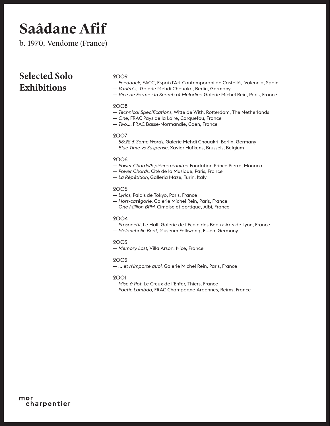b. 1970, Vendôme (France)

### **Selected Solo Exhibitions**

#### 2009

- *Feedback*, EACC, Espai d'Art Contemporani de Castelló, Valencia, Spain
- *Variétés*, Galerie Mehdi Chouakri, Berlin, Germany
- *Vice de Forme : In Search of Melodies*, Galerie Michel Rein, Paris, France

#### 2008

- *Technical Specifications*, Witte de With, Rotterdam, The Netherlands
- *One*, FRAC Pays de la Loire, Carquefou, France
- *Two..*., FRAC Basse-Normandie, Caen, France

#### 2007

- *58:22 & Some Words*, Galerie Mehdi Chouakri, Berlin, Germany
- *Blue Time vs Suspense*, Xavier Hufkens, Brussels, Belgium

#### 2006

- — *Power Chords/9 pièces réduites*, Fondation Prince Pierre, Monaco
- — *Power Chords*, Cité de la Musique, Paris, France
- — *La Répétition*, Galleria Maze, Turin, Italy

#### 2005

- *Lyrics*, Palais de Tokyo, Paris, France
- *Hors-catégorie*, Galerie Michel Rein, Paris, France
- *One Million BPM*, Cimaise et portique, Albi, France

#### 2004

- *Prospectif*, Le Hall, Galerie de l'Ecole des Beaux-Arts de Lyon, France
- *Melancholic Beat*, Museum Folkwang, Essen, Germany

#### 2003

— *Memory Lost*, Villa Arson, Nice, France

#### 2002

— *... et n'importe quoi*, Galerie Michel Rein, Paris, France

- *Mise à flot*, Le Creux de l'Enfer, Thiers, France
- *Poetic Lambda*, FRAC Champagne-Ardennes, Reims, France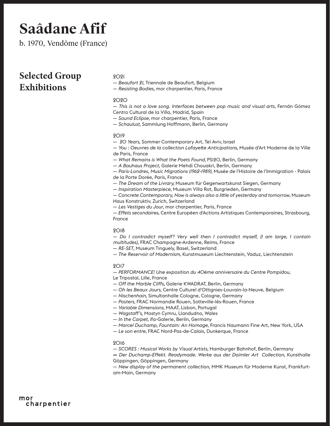b. 1970, Vendôme (France)

### **Selected Group Exhibitions**

#### 2021

— *Beaufort 21,* Triennale de Beaufort, Belgium

— *Resisting Bodies*, mor charpentier, Paris, France

#### 2020

— *This is not a love song. Interfaces between pop music and visual arts*, Fernán Gómez Centro Cultural de la Villa, Madrid, Spain

— *Sound Eclipse*, mor charpentier, Paris, France

— *Schaulust*, Sammlung Hoffmann, Berlin, Germany

#### $9019$

— *20 Years*, Sommer Contemporary Art, Tel Aviv, Israel

— *You : Oeuvres de la collection Lafayette Anticipations*, Musée d'Art Moderne de la Ville de Paris, France

— *What Remains is What the Poets Found*, PS120, Berlin, Germany

— *A Bauhaus Project*, Galerie Mehdi Chouakri, Berlin, Germany

— *Paris-Londres, Music Migrations (1962-1989)*, Musée de l'Histoire de l'Immigration - Palais de la Porte Dorée, Paris, France

— *The Dream of the Livrary,* Museum für Gegenwartskunst Siegen, Germany

— *Inspiration Masterpiece*, Museum Villa Rot, Burgrieden, Germany

— *Concrete Contemporary, Now is always also a little of yesterday and tomorrow*, Museum Haus Konstruktiv, Zurich, Switzerland

— *Les Vestiges du Jour*, mor charpentier, Paris, France

— *Effets secondaires*, Centre Européen d'Actions Artistiques Contemporaines, Strasbourg, France

#### 2018

— *Do I contradict myself? Very well then I contradict myself, (I am large, I contain multitudes)*, FRAC Champagne-Ardenne, Reims, France

— *RE-SET*, Museum Tinguely, Basel, Switzerland

— *The Reservoir of Modernism*, Kunstmuseum Liechtenstein, Vaduz, Liechtenstein

#### 2017

— *PERFORMANCE! Une exposition du 40ème anniversaire du Centre Pompidou*,

- Le Tripostal, Lille, France
- *Off the Marble Cliffs*, Galerie KWADRAT, Berlin, Germany
- *Oh les Beaux Jours*, Centre Culturel d'Ottignies-Louvain-la-Neuve, Belgium
- *Nischenhain*, Simultanhalle Cologne, Cologne, Germany
- *Posters*, FRAC Normandie Rouen, Sotteville-lès-Rouen, France
- *Variable Dimensions*, MAAT, Lisbon, Portugal
- *Wagstaff's*, Mostyn Cymru, Llandudno, Wales
- *In the Carpet*, ifa-Galerie, Berlin, Germany
- *Marcel Duchamp, Fountain: An Homage*, Francis Naumann Fine Art, New York, USA
- *Le son entre,* FRAC Nord-Pas-de-Calais, Dunkerque, France

#### 2016

— *SCORES : Musical Works by Visual Artists*, Hamburger Bahnhof, Berlin, Germany

**—** *Der Duchamp-Effekt. Readymade. Werke aus der Daimler Art Collection*, Kunsthalle Göppingen, Göppingen, Germany

— *New display of the permanent collection*, MMK Museum für Moderne Kunst, Frankfurtam-Main, Germany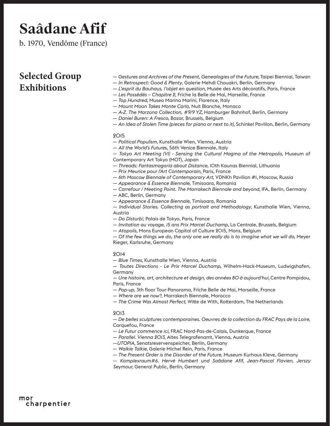b. 1970, Vendôme (France)

### **Selected Group Exhibitions**

- *Gestures and Archives of the Present, Genealogies of the Future*, Taipei Biennial, Taiwan
- *In Retrospect: Good & Plenty*, Galerie Mehdi Chouakri, Berlin, Germany
- *L'esprit du Bauhaus, l'objet en question*, Musée des Arts décoratifs, Paris, France
- *Les Possédés Chapitre 2*, Friche la Belle de Mai, Marseille, France
- *Top Hundred*, Museo Marino Marini, Florence, Italy
- *Mount Moon Takes Monte Carlo*, Nuit Blanche, Monaco
- *A-Z. The Marzona Collection, #9/9 YZ*, Hamburger Bahnhof, Berlin, Germany
- *Daniel Buren: A Fresco*, Bozar, Brussels, Belgium
- *An Idea of Stolen Time (pieces for piano or next to it)*, Schinkel Pavillon, Berlin, Germany

#### 2015

- *Political Populism*, Kunsthalle Wien, Vienna, Austria
- *All the World's Future*s, 56th Venice Biennale, Italy

— *Tokyo Art Meeting (VI) - Sensing the Cultural Magma of the Metropolis*, Museum of Contemporary Art Tokyo (MOT), Japan

- *Threads: Fantasmagoria about Distance*, 10th Kaunas Biennial, Lithuania
- *Prix Meurice pour l'Art Contemporain*, Paris, France
- *6th Moscow Biennale of Contemporary Art*, VDNKh Pavilion #1, Moscow, Russia
- *Appearance & Essence Biennale*, Timisoara, Romania
- *Carrefour / Meeting Point. The Marrakech Biennale and beyond*, IFA, Berlin, Germany
- ABC, Berlin, Germany
- *Appearance & Essence Biennale*, Timisoara, Romania

— *Individual Stories. Collecting as portrait and Methodology*, Kunsthalle Wien, Vienna, Austria

- *Do Disturb!*, Palais de Tokyo, Paris, France
- *Invitation au voyage, 15 ans Prix Marcel Duchamp*, La Centrale, Brussels, Belgium
- *Atopolis*, Mons European Capital of Culture 2015, Mons, Belgium

— *Of the few things we do, the only one we really do is to imagine what we will do,* Meyer Rieger, Karlsruhe, Germany

#### 2014

— *Blue Times*, Kunsthalle Wien, Vienna, Austria

— *Toutes Directions - Le Prix Marcel Duchamp*, Wilhelm-Hack-Museum, Ludwigshafen, Germany

— *Une histoire, art, architecture et design, des années 80 à aujourd'hui,* Centre Pompidou, Paris, France

- *Pop-up*, 3th floor Tour-Panorama, Friche Belle de Mai, Marseille, France
- *Where are we now?*, Marrakech Biennale, Morocco
- *The Crime Was Almost Perfect*, Witte de With, Rotterdam, The Netherlands

#### 2013

— *De belles sculptures contemporaines. Oeuvres de la collection du FRAC Pays de la Loire*, Carquefou, France

- *Le Futur commence ici*, FRAC Nord-Pas-de-Calais, Dunkerque, France
- *Parallel. Vienna 2013*, Altes Telegrafenamt, Vienna, Austria
- —*UTOPIA*, Senatsreservenspeicher, Berlin, Germany
- *Walkie Talkie*, Galerie Michel Rein, Paris, France
- *The Present Order is the Disorder of the Future*, Museum Kurhaus Kleve, Germany

— *Komplexraum#6. Hervé Humbert und Saâdane Afif, Jean-Pascal Flavien, Jerszy Seymour,* General Public, Berlin, Germany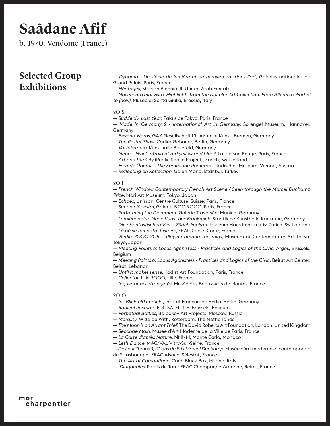b. 1970, Vendôme (France)

### **Selected Group Exhibitions**

— *Dynamo - Un siècle de lumière et de mouvement dans l'art*, Galeries nationales du Grand Palais, Paris, France

— *Héritages*, Sharjah Biennial 11, United Arab Emirates

— *Novecento mai visto. Highlights from the Daimler Art Collection. From Albers to Warhol to (now)*, Museo di Santa Giulia, Brescia, Italy

#### 2012

— *Suddenly, Last Year*, Palais de Tokyo, Paris, France

— *Made in Germany 2 - International Art in Germany,* Sprengel Museum, Hannover, Germany

- *Beyond Words*, GAK Gesellschaft für Aktuelle Kunst, Bremen, Germany
- *The Poster Show*, Carlier Gebauer, Berlin, Germany
- *Vorführraum,* Kunsthalle Bielefeld, Germany
- *Neon Who's afraid of red yellow and blue?*, La Maison Rouge, Paris, France
- *Art and the City* (Public Space Project), Zurich, Switzerland
- *Fremde Überall Die Sammlung Pomeranz*, Jüdisches Museum, Vienna, Austria
- *Reflecting on Reflection*, Galeri Mana, Istanbul, Turkey

#### 2011

— *French Window: Contemporary French Art Scene / Seen through the Marcel Duchamp Prize,* Mori Art Museum, Tokyo, Japan

- *Echoes*, Unisson, Centre Culturel Suisse, Paris, France
- *Sur un piédestal*, Galerie 1900-2000, Paris, France
- *Performing the Document*, Galerie Traversée, Munich, Germany
- *Lumière noire. Neue Kunst aus Frankreich*, Staatliche Kunsthalle Karlsruhe, Germany
- *Die phantastischen Vier Zürich konkret*, Museum Haus Konstruktiv, Zurich, Switzerland
- *Là oú se fait notre histoire,* FRAC Corse, Corte, France

— *Berlin 2000-2011 – Playing among the ruin*s, Museum of Contemporary Art Tokyo, Tokyo, Japan

— *Meeting Points 6: Locus Agonistess - Practices and Logics of the Civic*, Argos, Brussels, **Belgium** 

— *Meeting Points 6: Locus Agonistess - Practices and Logics of the Civi*c, Beirut Art Center, Beirut, Lebanon

- *Until it makes sense*, Kadist Art Foundation, Paris, France
- *Collector*, Lille 3000, Lille, France
- *Inquiétantes étrangetés*, Musée des Beaux-Arts de Nantes, France

- *Ins Blickfeld gerückt*, Institut Français de Berlin, Berlin, Germany
- *Radical Postures*, FDC SATELLITE, Brussels, Belgium
- *Perpetual Battles*, Baibakov Art Projects, Moscow, Russia
- *Morality*, Witte de With, Rotterdam, The Netherlands
- *The Moon is an Arrant Thief*, The David Roberts Art Foundation, London, United Kingdom
- — *Seconde Main*, Musée d'Art Moderne de la Ville de Paris, France
- *La Carte d'après Nature*, NMNM, Monte Carlo, Monaco
- *Let's Dance*, MAC/VAL Vitry-Sur-Seine, France
- *De Leur Temps 3, 10 ans du Prix Marcel Duchamp*, Musée d'Art moderne et contemporain
- de Strasbourg et FRAC Alsace, Sélestat, France
- *The Art of Camouflage*, Cardi Black Box, Milano, Italy
- *Diagonales*, Palais du Tau / FRAC Champagne-Ardenne, Reims, France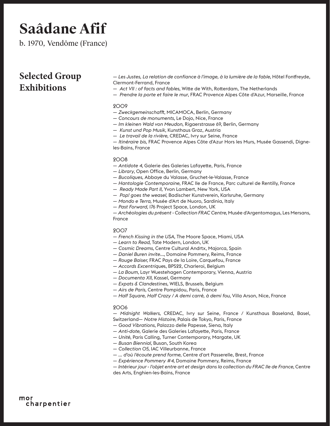b. 1970, Vendôme (France)

### **Selected Group Exhibitions**

— *Les Justes, La relation de confiance à l'image, à la lumière de la fable*, Hôtel Fontfreyde, Clermont-Ferrand, France

- *Act VII : of facts and fables*, Witte de With, Rotterdam, The Netherlands
- *Prendre la porte et faire le mur*, FRAC Provence Alpes Côte d'Azur, Marseille, France

#### 2009

- *Zweckgemeinschafft*, MICAMOCA, Berlin, Germany
- *Concours de monuments*, Le Dojo, Nice, France
- *Im kleinen Wald von Meudon*, Rigaerstrasse 69, Berlin, Germany
- *Kunst und Pop Musik*, Kunsthaus Graz, Austria
- *Le travail de la rivière*, CREDAC, Ivry sur Seine, France

— *Itinéraire bis*, FRAC Provence Alpes Côte d'Azur Hors les Murs, Musée Gassendi, Digneles-Bains, France

#### 2008

- *Antidote 4,* Galerie des Galeries Lafayette, Paris, France
- *Library*, Open Office, Berlin, Germany
- *Bucoliques,* Abbaye du Valasse, Gruchet-le-Valasse, France
- *Hantologie Contemporaine*, FRAC Ile de France, Parc culturel de Rentilly, France
- *Ready Made Part II,* Yvon Lambert, New York, USA
- *Pop! goes the weasel*, Badischer Kunstverein, Karlsruhe, Germany
- *Mondo e Terra,* Musée d'Art de Nuoro, Sardinia, Italy
- *Past Forward*, 176 Project Space, London, UK

— *Archéologies du présent - Collection FRAC Centre*, Musée d'Argentomagus, Les Mersans, France

#### 2007

- *French Kissing in the USA*, The Moore Space, Miami, USA
- *Learn to Read*, Tate Modern, London, UK
- *Cosmic Dreams,* Centre Cultural Andrtx, Majorca, Spain
- *Daniel Buren invite...*, Domaine Pommery, Reims, France
- *Rouge Baiser,* FRAC Pays de la Loire, Carquefou, France
- *Accords Excentrique*s, BPS22, Charleroi, Belgium
- *La Boum*, Layr Wuestehagen Contemporary, Vienna, Austria
- *Documenta XII*, Kassel, Germany
- *Expats & Clandestines,* WIELS, Brussels, Belgium
- *Airs de Paris,* Centre Pompidou, Paris, France
- *Half Square, Half Crazy / A demi carré, à demi fou*, Villa Arson, Nice, France

#### 2006

— *Midnight Walkers,* CREDAC, Ivry sur Seine, France / Kunsthaus Baseland, Basel, Switzerland— *Notre Histoire,* Palais de Tokyo, Paris, France

- *Good Vibrations*, Palazzo delle Papesse, Siena, Italy
- *Anti-dote*, Galerie des Galeries Lafayette, Paris, France
- *Unité*, Paris Calling, Turner Contemporary, Margate, UK
- *Busan Biennial,* Busan, South Korea
- *Collection 05,* IAC Villeurbanne, France
- *... d'où l'écoute prend forme*, Centre d'art Passerelle, Brest, France
- *Expérience Pommery #4,* Domaine Pommery, Reims, France
- *Intérieur jour l'objet entre art et design dans la collection du FRAC Ile de France*, Centre des Arts, Enghien-les-Bains, France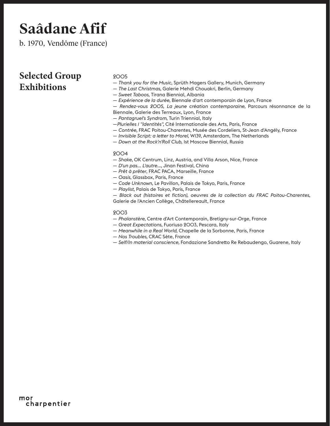b. 1970, Vendôme (France)

### **Selected Group Exhibitions**

#### 2005

- *Thank you for the Music*, Sprüth Magers Gallery, Munich, Germany
- *The Last Christmas*, Galerie Mehdi Chouakri, Berlin, Germany
- *Sweet Taboos*, Tirana Biennial, Albania
- *Expérience de la durée*, Biennale d'art contemporain de Lyon, France

— *Rendez-vous 2005, La jeune création contemporaine*, Parcours résonnance de la Biennale, Galerie des Terreaux, Lyon, France

- *Pantagruel's Syndrom*, Turin Triennial, Italy
- —*Plurielles 1 "Identités",* Cité Internationale des Arts, Paris, France
- — *Contrée,* FRAC Poitou-Charentes, Musée des Cordeliers, St-Jean d'Angély, France
- — *Invisible Script: a letter to Morel,* W139, Amsterdam, The Netherlands
- *Down at the Rock'n'Roll Club*, 1st Moscow Biennial, Russia

#### 2004

- *Shake*, OK Centrum, Linz, Austria, and Villa Arson, Nice, France
- *D'un pas... L'autre..*., Jinan Festival, China
- *Prêt à prêter*, FRAC PACA, Marseille, France
- *Oasis*, Glassbox, Paris, France
- *Code Unknown,* Le Pavillon, Palais de Tokyo, Paris, France
- *Playlist*, Palais de Tokyo, Paris, France
- *Black out (histoires et fiction), oeuvres de la collection du FRAC Poitou-Charentes*, Galerie de l'Ancien Collège, Châtellereault, France

- *Phalanstère*, Centre d'Art Contemporain, Bretigny-sur-Orge, France
- *Great Expectations*, Fuoriuso 2003, Pescara, Italy
- *Meanwhile in a Real World,* Chapelle de la Sorbonne, Paris, France
- *Nos Troubles,* CRAC Sète, France
- — *Self/In material conscience,* Fondazione Sandretto Re Rebaudengo, Guarene, Italy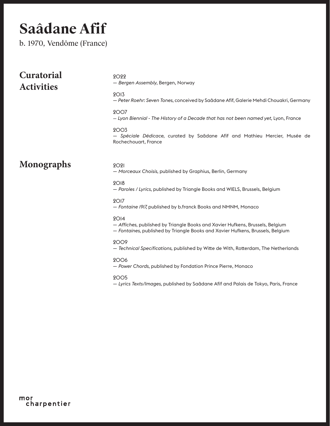b. 1970, Vendôme (France)

| <b>Curatorial</b><br><b>Activities</b> | 9099<br>- Bergen Assembly, Bergen, Norway<br><b>2013</b>                                                                                                                            |
|----------------------------------------|-------------------------------------------------------------------------------------------------------------------------------------------------------------------------------------|
|                                        | - Peter Roehr: Seven Tones, conceived by Saâdane Afif, Galerie Mehdi Chouakri, Germany<br><b>2007</b>                                                                               |
|                                        | - Lyon Biennial - The History of a Decade that has not been named yet, Lyon, France                                                                                                 |
|                                        | <b>2003</b><br>- Spéciale Dédicace, curated by Saâdane Afif and Mathieu Mercier, Musée de<br>Rochechouart, France                                                                   |
| <b>Monographs</b>                      | <b>2021</b><br>- Morceaux Choisis, published by Graphius, Berlin, Germany                                                                                                           |
|                                        | <b>2018</b><br>- Paroles / Lyrics, published by Triangle Books and WIELS, Brussels, Belgium                                                                                         |
|                                        | <b>2017</b><br>- Fontaine 1917, published by b.franck Books and NMNM, Monaco                                                                                                        |
|                                        | 2O <sub>14</sub><br>- Affiches, published by Triangle Books and Xavier Hufkens, Brussels, Belgium<br>- Fontaines, published by Triangle Books and Xavier Hufkens, Brussels, Belgium |
|                                        | 9009<br>- Technical Specifications, published by Witte de With, Rotterdam, The Netherlands                                                                                          |
|                                        | 2006<br>- Power Chords, published by Fondation Prince Pierre, Monaco                                                                                                                |
|                                        | <b>2005</b><br>- Lyrics Texts/Images, published by Saâdane Afif and Palais de Tokyo, Paris, France                                                                                  |
|                                        |                                                                                                                                                                                     |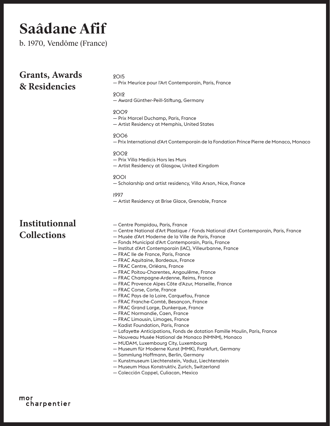b. 1970, Vendôme (France)

| <b>Grants, Awards</b><br>& Residencies | <b>2015</b><br>— Prix Meurice pour l'Art Contemporain, Paris, France<br><b>2012</b><br>— Award Günther-Peill-Stiftung, Germany                                                                                                                                                                                                                                                                                                                                                                                                                                                                                                                                                                                                                                                                                                                                                                                                                                                                                                                                                                                                                                                                                                                                           |
|----------------------------------------|--------------------------------------------------------------------------------------------------------------------------------------------------------------------------------------------------------------------------------------------------------------------------------------------------------------------------------------------------------------------------------------------------------------------------------------------------------------------------------------------------------------------------------------------------------------------------------------------------------------------------------------------------------------------------------------------------------------------------------------------------------------------------------------------------------------------------------------------------------------------------------------------------------------------------------------------------------------------------------------------------------------------------------------------------------------------------------------------------------------------------------------------------------------------------------------------------------------------------------------------------------------------------|
|                                        | <b>2009</b><br>- Prix Marcel Duchamp, Paris, France<br>- Artist Residency at Memphis, United States                                                                                                                                                                                                                                                                                                                                                                                                                                                                                                                                                                                                                                                                                                                                                                                                                                                                                                                                                                                                                                                                                                                                                                      |
|                                        | <b>2006</b><br>— Prix International d'Art Contemporain de la Fondation Prince Pierre de Monaco, Monaco                                                                                                                                                                                                                                                                                                                                                                                                                                                                                                                                                                                                                                                                                                                                                                                                                                                                                                                                                                                                                                                                                                                                                                   |
|                                        | <b>2002</b><br>- Prix Villa Medicis Hors les Murs<br>- Artist Residency at Glasgow, United Kingdom                                                                                                                                                                                                                                                                                                                                                                                                                                                                                                                                                                                                                                                                                                                                                                                                                                                                                                                                                                                                                                                                                                                                                                       |
|                                        | <b>2001</b><br>— Scholarship and artist residency, Villa Arson, Nice, France                                                                                                                                                                                                                                                                                                                                                                                                                                                                                                                                                                                                                                                                                                                                                                                                                                                                                                                                                                                                                                                                                                                                                                                             |
|                                        | 1997<br>— Artist Residency at Brise Glace, Grenoble, France                                                                                                                                                                                                                                                                                                                                                                                                                                                                                                                                                                                                                                                                                                                                                                                                                                                                                                                                                                                                                                                                                                                                                                                                              |
| Institutionnal<br><b>Collections</b>   | — Centre Pompidou, Paris, France<br>- Centre National d'Art Plastique / Fonds National d'Art Contemporain, Paris, France<br>- Musée d'Art Moderne de la Ville de Paris, France<br>- Fonds Municipal d'Art Contemporain, Paris, France<br>— Institut d'Art Contemporain (IAC), Villeurbanne, France<br>— FRAC Ile de France, Paris, France<br>- FRAC Aquitaine, Bordeaux, France<br>- FRAC Centre, Orléans, France<br>- FRAC Poitou-Charentes, Angoulême, France<br>- FRAC Champagne-Ardenne, Reims, France<br>- FRAC Provence Alpes Côte d'Azur, Marseille, France<br>- FRAC Corse, Corte, France<br>- FRAC Pays de la Loire, Carquefou, France<br>- FRAC Franche-Comté, Besançon, France<br>— FRAC Grand Large, Dunkergue, France<br>— FRAC Normandie, Caen, France<br>- FRAC Limousin, Limoges, France<br>- Kadist Foundation, Paris, France<br>- Lafayette Anticipations, Fonds de dotation Famille Moulin, Paris, France<br>- Nouveau Musée National de Monaco (NMNM), Monaco<br>- MUDAM, Luxembourg City, Luxembourg<br>- Museum für Moderne Kunst (MMK), Frankfurt, Germany<br>- Sammlung Hoffmann, Berlin, Germany<br>- Kunstmuseum Liechtenstein, Vaduz, Liechtenstein<br>- Museum Haus Konstruktiv, Zurich, Switzerland<br>- Colección Coppel, Culiacan, Mexico |

mor<br>charpentier